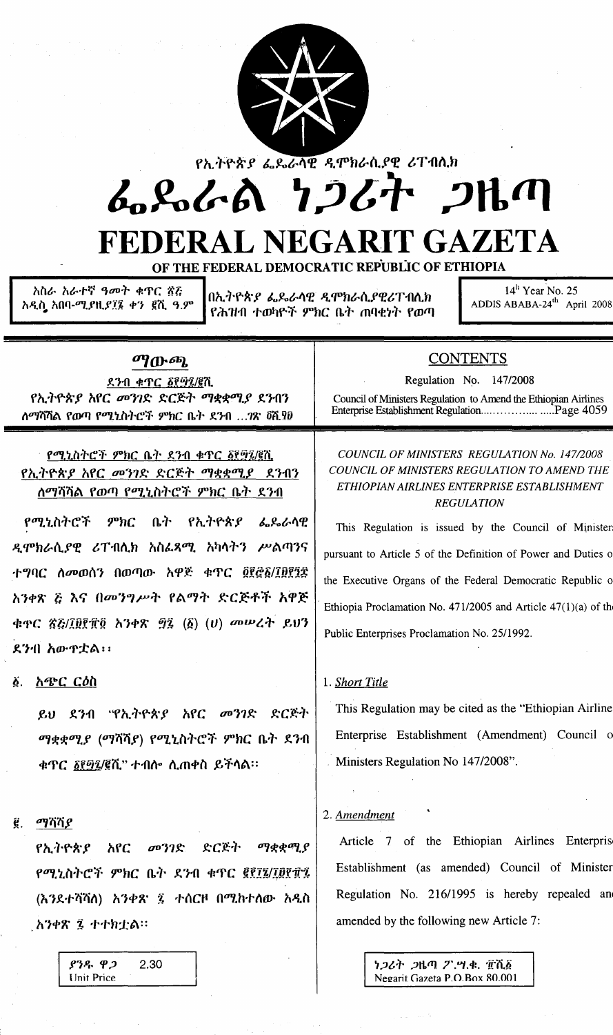

የኢትዮጵያ ፌዴራሳዊ ዲሞክራሲያዊ ሪፐብሲክ

# ふらんる りつびれ つりの

## FEDERAL NEGARIT GAZETA

OF THE FEDERAL DEMOCRATIC REPUBLIC OF ETHIOPIA

አስራ አራተኛ ዓመት ቁዋር ኟሯ አዲስ አበባ-ሚ*ያ*ዚ*ያ፲*፮ ቀን ፪ሺ ዓ.ም

በኢትዮጵያ ፌዴራሳዊ ዲሞክራሲያዊሪፐብሊክ የሕዝብ ተወካዮች ምክር ቤት ጠባቂነት የወጣ

 $14<sup>h</sup>$  Year No. 25 ADDIS ABABA-24<sup>th</sup> April 2008

#### ማውጫ

ደንብ ቁጥር ፩፻፵፯/፪ሺ የኢትዮጵያ አየር መንገድ ድርጅት ማቋቋሚያ ደንብን ለማሻሻል የውጣ የሚኒስትሮች ምክር ቤት ደንብ ...?ጽ ፬ሺ፻፱

የሚኒስትሮች ምክር ቤት ደንብ ቀጥር ፩፻፵፯/፪ሺ የኢትዮጵያ አየር መንገድ ድርጅት ማቋቋሚያ ደንብን ለማሻሻል የወጣ የሚኒስትሮች ምክር ቤት ደንብ

የሚኒስትሮች  $$ ቤት የኢትዮጵያ ፌዴራሳዊ ዲሞክራሲያዊ ሪፐብሲክ አስፌጻሚ አካሳትን ሥልጣንና ተግባር ስመወሰን በወጣው አዋጅ ቁጥር ፬፻፸፩/፲፱፻፺፰ አንቀጽ ፩ እና በመንግሥት የልማት ድርጅቶች አዋጅ ቁዋር ፳፭/፲፱፻፹፬ አንቀጽ ፵፯ (፩) (ሀ) መሠረት ይህን ደንብ አውዋቷል፡፡

#### ፩. አ**ጭር ር**ዕስ

ይህ ደንብ "የኢትዮጵያ አየር መንገድ ድርጅት ማቋቋሚያ (ማሻሻያ) የሚኒስትሮች ምክር ቤት ደንብ ቁጥር ፩፻፵፯/፪ሺ" ተብሎ ሲጠቀስ ይችሳል።

#### $g$ ,  $q\eta$  $\eta$

 $932.92$ 

**Unit Price** 

ድርጅት ማቋቋሚያ የኢትዮጵያ አየር  $\sigma$ <sup>3</sup> $2$ የሚኒስትሮች ምክር ቤት ደንብ ቁጥር ፪፻፲፮/፲፱፻፹፯ (እንደተሻሻሰ) አንቀጽ ፯ ተሰርዞ በሚከተሰው አዲስ አንቀጽ ፯ ተተክቷል።

2.30

**CONTENTS** 

Regulation No. 147/2008

Council of Ministers Regulation to Amend the Ethiopian Airlines 

#### COUNCIL OF MINISTERS REGULATION No. 147/2008 COUNCIL OF MINISTERS REGULATION TO AMEND THE ETHIOPIAN AIRLINES ENTERPRISE ESTABLISHMENT **REGULATION**

This Regulation is issued by the Council of Minister pursuant to Article 5 of the Definition of Power and Duties of the Executive Organs of the Federal Democratic Republic o Ethiopia Proclamation No. 471/2005 and Article  $47(1)(a)$  of the Public Enterprises Proclamation No. 25/1992.

#### 1. Short Title

This Regulation may be cited as the "Ethiopian Airline Enterprise Establishment (Amendment) Council of Ministers Regulation No 147/2008".

#### 2. Amendment

Article 7 of the Ethiopian Airlines Enterpris Establishment (as amended) Council of Minister Regulation No. 216/1995 is hereby repealed and amended by the following new Article 7:

> ነጋሪት ጋዜጣ ፖ.ሣ.ቁ. ፹ሺ፩ Negarit Gazeta P.O.Box 80.001